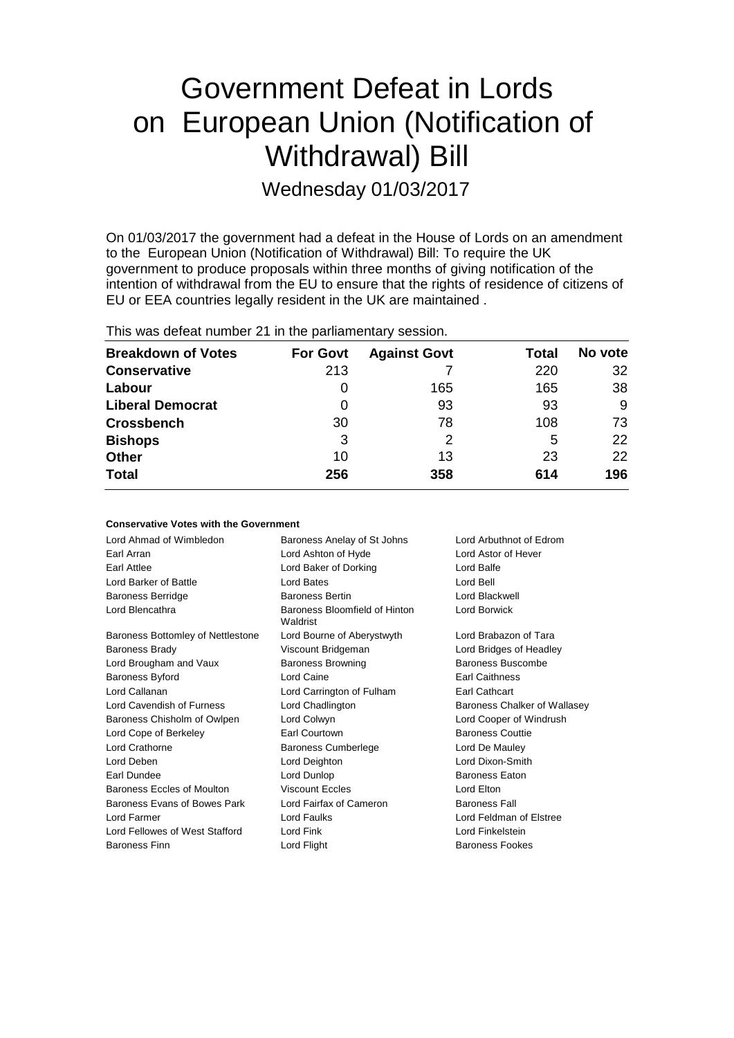# Government Defeat in Lords on European Union (Notification of Withdrawal) Bill

Wednesday 01/03/2017

On 01/03/2017 the government had a defeat in the House of Lords on an amendment to the European Union (Notification of Withdrawal) Bill: To require the UK government to produce proposals within three months of giving notification of the intention of withdrawal from the EU to ensure that the rights of residence of citizens of EU or EEA countries legally resident in the UK are maintained .

This was defeat number 21 in the parliamentary session.

| <b>Breakdown of Votes</b> | <b>For Govt</b> | <b>Against Govt</b> | Total | No vote |
|---------------------------|-----------------|---------------------|-------|---------|
| <b>Conservative</b>       | 213             |                     | 220   | 32      |
| Labour                    | 0               | 165                 | 165   | 38      |
| <b>Liberal Democrat</b>   | 0               | 93                  | 93    | 9       |
| <b>Crossbench</b>         | 30              | 78                  | 108   | 73      |
| <b>Bishops</b>            | 3               | 2                   | 5     | 22      |
| <b>Other</b>              | 10              | 13                  | 23    | 22      |
| <b>Total</b>              | 256             | 358                 | 614   | 196     |

| <b>Conservative Votes with the Government</b> |                                                        |                              |
|-----------------------------------------------|--------------------------------------------------------|------------------------------|
| Lord Ahmad of Wimbledon                       | Lord Arbuthnot of Edrom<br>Baroness Anelay of St Johns |                              |
| Earl Arran                                    | Lord Ashton of Hyde<br>Lord Astor of Hever             |                              |
| <b>Earl Attlee</b>                            | Lord Baker of Dorking                                  | Lord Balfe                   |
| Lord Barker of Battle                         | Lord Bates                                             | Lord Bell                    |
| <b>Baroness Berridge</b>                      | <b>Baroness Bertin</b>                                 | Lord Blackwell               |
| Lord Blencathra                               | Baroness Bloomfield of Hinton<br>Waldrist              | <b>Lord Borwick</b>          |
| Baroness Bottomley of Nettlestone             | Lord Bourne of Aberystwyth                             | Lord Brabazon of Tara        |
| <b>Baroness Brady</b>                         | Viscount Bridgeman                                     | Lord Bridges of Headley      |
| Lord Brougham and Vaux                        | <b>Baroness Browning</b>                               | Baroness Buscombe            |
| <b>Baroness Byford</b>                        | Lord Caine                                             | <b>Earl Caithness</b>        |
| Lord Callanan                                 | Lord Carrington of Fulham                              | Earl Cathcart                |
| Lord Cavendish of Furness                     | Lord Chadlington                                       | Baroness Chalker of Wallasey |
| Baroness Chisholm of Owlpen                   | Lord Colwyn                                            | Lord Cooper of Windrush      |
| Lord Cope of Berkeley                         | <b>Earl Courtown</b>                                   | <b>Baroness Couttie</b>      |
| Lord Crathorne                                | <b>Baroness Cumberlege</b>                             | Lord De Mauley               |
| Lord Deben                                    | Lord Deighton                                          | Lord Dixon-Smith             |
| Earl Dundee                                   | Lord Dunlop                                            | <b>Baroness Eaton</b>        |
| Baroness Eccles of Moulton                    | <b>Viscount Eccles</b>                                 | Lord Elton                   |
| Baroness Evans of Bowes Park                  | Lord Fairfax of Cameron                                | <b>Baroness Fall</b>         |
| Lord Farmer                                   | <b>Lord Faulks</b>                                     | Lord Feldman of Elstree      |
| Lord Fellowes of West Stafford                | Lord Fink                                              | Lord Finkelstein             |
| <b>Baroness Finn</b>                          | Lord Flight                                            | <b>Baroness Fookes</b>       |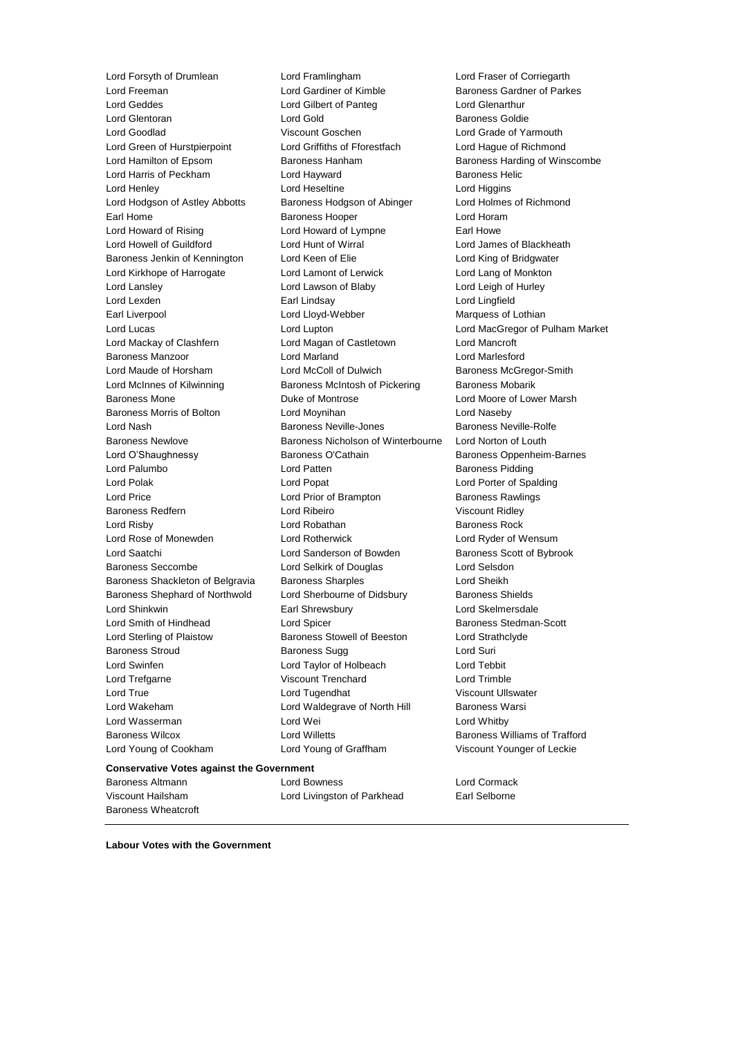**Conservative Votes against the Government** Lord Forsyth of Drumlean Lord Framlingham Lord Fraser of Corriegarth Lord Freeman **Lord Gardiner of Kimble** Baroness Gardner of Parkes<br>
Lord Geddes **Corporation Corporation**<br>
Lord Glenarthur Lord Glentoran Lord Gold Baroness Goldie Lord Goodlad Viscount Goschen Lord Grade of Yarmouth Lord Green of Hurstpierpoint Lord Griffiths of Fforestfach Lord Hague of Richmond Lord Hamilton of Epsom **Baroness Hanham** Baroness Handing of Winscombe Lord Harris of Peckham **Lord Hayward** Lord Hayward Baroness Helic Lord Henley **Lord Heseltine** Lord Heseltine **Lord Higgins** Lord Hodgson of Astley Abbotts Baroness Hodgson of Abinger Lord Holmes of Richmond Earl Home **Baroness Hooper Baroness Hooper Lord Horam** Lord Howard of Rising **Lord Howard of Lympne** Earl Howe Lord Howell of Guildford Lord Hunt of Wirral Lord James of Blackheath Baroness Jenkin of Kennington Lord Keen of Elie Lord King of Bridgwater Lord Kirkhope of Harrogate Lord Lamont of Lerwick Lord Lang of Monkton Lord Lansley Lord Lawson of Blaby Lord Leigh of Hurley Lord Lexden Earl Lindsay Lord Lingfield Earl Liverpool Lord Lloyd-Webber Marquess of Lothian Lord Lucas Lord Lupton Lord MacGregor of Pulham Market Lord Mackay of Clashfern Lord Magan of Castletown Lord Mancroft Baroness Manzoor Lord Marland Lord Marlesford Lord Maude of Horsham **Lord McColl of Dulwich Baroness McGregor-Smith** Lord McInnes of Kilwinning Baroness McIntosh of Pickering Baroness Mobarik Baroness Mone Duke of Montrose Lord Moore of Lower Marsh Baroness Morris of Bolton Lord Moynihan Lord Naseby Lord Nash Baroness Neville-Jones Baroness Neville-Rolfe Baroness Newlove Baroness Nicholson of Winterbourne Lord Norton of Louth Lord O'Shaughnessy Baroness O'Cathain Baroness Oppenheim-Barnes Lord Palumbo **Lord Patten Baroness Pidding Lord Patten Baroness Pidding** Lord Polak Lord Popat Lord Porter of Spalding Lord Price **Lord Prior of Brampton** Baroness Rawlings Baroness Redfern Lord Ribeiro Viscount Ridley Lord Risby **Lord Robathan** Baroness Rock Lord Rose of Monewden Lord Rotherwick Lord Ryder of Wensum Lord Saatchi **Lord Sanderson of Bowden** Baroness Scott of Bybrook Baroness Seccombe Lord Selkirk of Douglas Lord Selsdon Baroness Shackleton of Belgravia Baroness Sharples Lord Sheikh Baroness Shephard of Northwold Lord Sherbourne of Didsbury Baroness Shields Lord Shinkwin Earl Shrewsbury Lord Skelmersdale Lord Smith of Hindhead Lord Spicer Baroness Stedman-Scott Lord Sterling of Plaistow Baroness Stowell of Beeston Lord Strathclyde Baroness Stroud **Baroness Sugg Community** Baroness Sugg **Lord Suri** Lord Swinfen Lord Taylor of Holbeach Lord Tebbit Lord Trefgarne Viscount Trenchard Lord Trimble Lord True Lord Tugendhat Viscount Ullswater Lord Wakeham **Lord Waldegrave of North Hill** Baroness Warsi Lord Wasserman **Lord Wei** Lord Wei **Lord Whitby** Baroness Wilcox Lord Willetts Baroness Williams of Trafford Lord Young of Cookham Lord Young of Graffham Viscount Younger of Leckie Baroness Altmann Lord Bowness Lord Cormack

Lord Gilbert of Panteg Lord Glenarthur

Viscount Hailsham Lord Livingston of Parkhead Earl Selborne

**Labour Votes with the Government**

Baroness Wheatcroft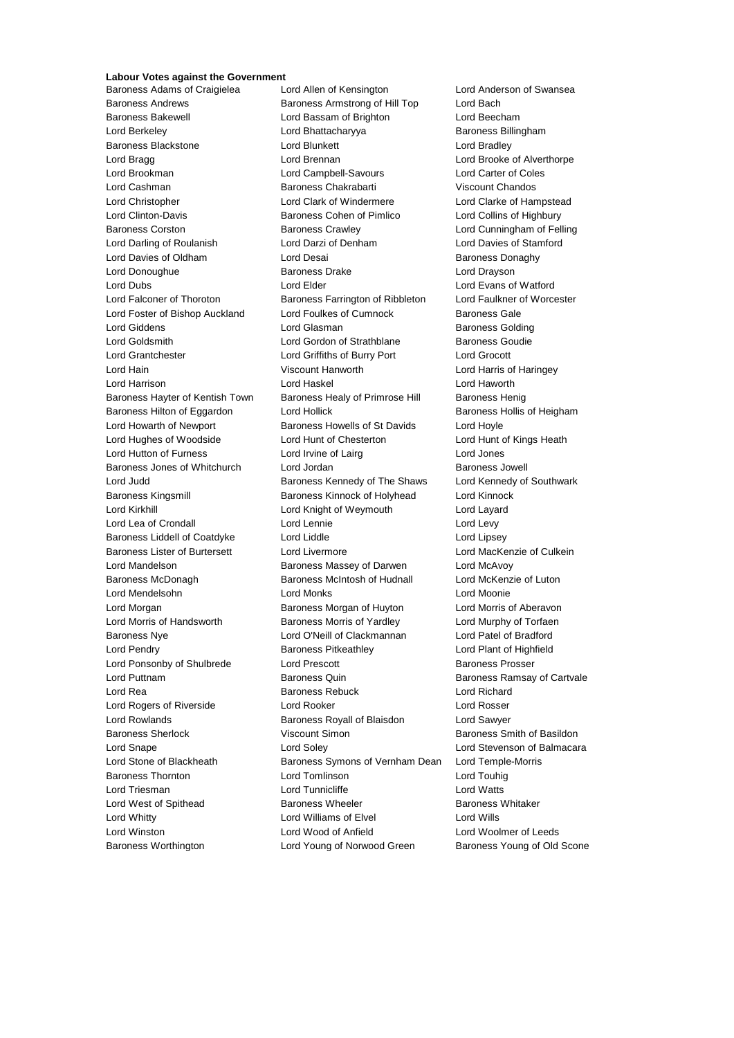### **Labour Votes against the Government**

Baroness Adams of Craigielea Lord Allen of Kensington Lord Anderson of Swansea Baroness Andrews **Baroness Armstrong of Hill Top** Lord Bach Baroness Bakewell Lord Bassam of Brighton Lord Beecham Lord Berkeley **Lord Bhattacharyya** Baroness Billingham Baroness Blackstone **Lord Blunkett** Lord Bradley Lord Bragg **Lord Brennan** Lord Brennan Lord Brooke of Alverthorpe Lord Brookman Lord Campbell-Savours Lord Carter of Coles Lord Cashman Baroness Chakrabarti Viscount Chandos Lord Christopher Lord Clark of Windermere Lord Clarke of Hampstead Lord Clinton-Davis Baroness Cohen of Pimlico Lord Collins of Highbury Baroness Corston Baroness Crawley Lord Cunningham of Felling Lord Darling of Roulanish Lord Darzi of Denham Lord Davies of Stamford Lord Davies of Oldham Lord Desai Baroness Donaghy Lord Donoughue Baroness Drake Lord Drayson Lord Dubs **Lord Elder** Lord Elder **Lord Example 10** Lord Evans of Watford Lord Falconer of Thoroton Baroness Farrington of Ribbleton Lord Faulkner of Worcester Lord Foster of Bishop Auckland Lord Foulkes of Cumnock Baroness Gale Lord Giddens Lord Glasman Baroness Golding Lord Goldsmith Lord Gordon of Strathblane Baroness Goudie Lord Grantchester Lord Griffiths of Burry Port Lord Grocott Lord Hain Viscount Hanworth Lord Harris of Haringey Lord Harrison Lord Haskel Lord Haworth Baroness Hayter of Kentish Town Baroness Healy of Primrose Hill Baroness Henig Baroness Hilton of Eggardon Lord Hollick **Baroness Hollis of Heigham** Lord Howarth of Newport **Baroness Howells of St Davids** Lord Hoyle Lord Hughes of Woodside Lord Hunt of Chesterton Lord Hunt of Kings Heath Lord Hutton of Furness Lord Irvine of Lairg Lord Jones Baroness Jones of Whitchurch Lord Jordan **Baroness Jowell** Baroness Jowell Lord Judd **Baroness Kennedy of The Shaws** Lord Kennedy of Southwark Baroness Kingsmill Baroness Kinnock of Holyhead Lord Kinnock Lord Kirkhill Lord Knight of Weymouth Lord Layard Lord Lea of Crondall Lord Lennie Lord Levy Baroness Liddell of Coatdyke Lord Liddle Lord Linsey Baroness Lister of Burtersett Lord Livermore **Lord Lord MacKenzie of Culkein** Lord Mandelson **Baroness Massey of Darwen** Lord McAvoy Baroness McDonagh Baroness McIntosh of Hudnall Lord McKenzie of Luton Lord Mendelsohn Lord Monks Lord Moonie Lord Morgan Baroness Morgan of Huyton Lord Morris of Aberavon Lord Morris of Handsworth Baroness Morris of Yardley Lord Murphy of Torfaen Baroness Nye Lord O'Neill of Clackmannan Lord Patel of Bradford Lord Pendry **Baroness Pitkeathley** Lord Plant of Highfield Lord Plant of Highfield Lord Ponsonby of Shulbrede Lord Prescott **Baroness Prosser** Lord Puttnam **Baroness Quin** Baroness Quin Baroness Ramsay of Cartvale Lord Rea **Baroness Rebuck** Lord Richard Lord Richard Lord Rogers of Riverside Lord Rooker Lord Rosser Lord Rowlands Baroness Royall of Blaisdon Lord Sawyer Baroness Sherlock **Viscount Simon Baroness Smith of Basildon** Lord Snape Lord Soley Lord Stevenson of Balmacara Lord Stone of Blackheath Baroness Symons of Vernham Dean Lord Temple-Morris Baroness Thornton Lord Tomlinson Lord Touhig Lord Triesman **Lord Tunnicliffe** Lord Tunnicliffe Lord Watts Lord West of Spithead **Baroness Wheeler** Baroness Whitaker Lord Whitty Lord Williams of Elvel Lord Wills Lord Winston Lord Wood of Anfield Lord Woolmer of Leeds Baroness Worthington **Lord Young of Norwood Green** Baroness Young of Old Scone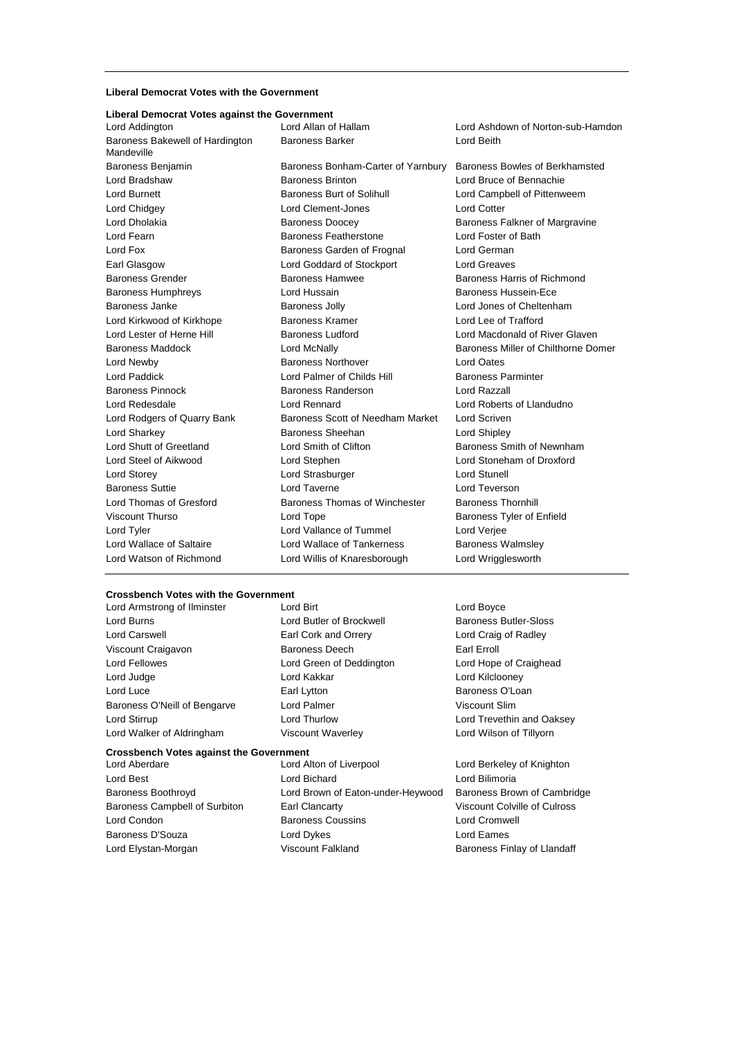### **Liberal Democrat Votes with the Government**

#### **Liberal Democrat Votes against the Government**

Lord Addington Lord Allan of Hallam Lord Ashdown of Norton-sub-Hamdon Baroness Bakewell of Hardington Mandeville Baroness Barker Lord Beith Baroness Benjamin Baroness Bonham-Carter of Yarnbury Baroness Bowles of Berkhamsted Lord Bradshaw Baroness Brinton Lord Bruce of Bennachie Lord Burnett **Baroness Burt of Solihull** Lord Campbell of Pittenweem Lord Chidgey Lord Clement-Jones Lord Cotter Lord Dholakia **Baroness Doocey** Baroness Doocey Baroness Falkner of Margravine Lord Fearn Baroness Featherstone Lord Foster of Bath Lord Fox **Baroness Garden of Frognal** Lord German Earl Glasgow Lord Goddard of Stockport Lord Greaves Baroness Grender Baroness Hamwee Baroness Harris of Richmond Baroness Humphreys Lord Hussain Baroness Hussein-Ece Baroness Janke Baroness Jolly Lord Jones of Cheltenham Lord Kirkwood of Kirkhope Baroness Kramer Lord Lee of Trafford Lord Lester of Herne Hill **Baroness Ludford Lord Macdonald of River Glaven** Baroness Maddock **Lord McNally Communist Communist Communist Communist Communist Communist Communist Communist Communist Communist Communist Communist Communist Communist Communist Communist Communist Communist Communist C** Lord Newby Baroness Northover Lord Oates Lord Paddick **Lord Palmer of Childs Hill Baroness Parminter** Baroness Pinnock **Baroness Randerson** Lord Razzall Lord Redesdale Lord Rennard Lord Roberts of Llandudno Lord Rodgers of Quarry Bank Baroness Scott of Needham Market Lord Scriven Lord Sharkey Baroness Sheehan Lord Shipley Lord Shutt of Greetland **Lord Smith of Clifton** Baroness Smith of Newnham Lord Steel of Aikwood Lord Stephen Lord Stoneham of Droxford Lord Storey **Lord Strasburger** Lord Strasburger **Lord Strasburger** Lord Stunell Baroness Suttie Lord Taverne Lord Teverson Lord Thomas of Gresford **Baroness Thomas of Winchester** Baroness Thornhill Viscount Thurso **Communist Contact Contact Contact Contact Contact Contact Contact Contact Contact Contact Contact Contact Contact Contact Contact Contact Contact Contact Contact Contact Contact Contact Contact Contact Con** Lord Tyler Lord Vallance of Tummel Lord Verjee Lord Wallace of Saltaire **Lord Wallace of Tankerness** Baroness Walmsley Lord Watson of Richmond Lord Willis of Knaresborough Lord Wrigglesworth

#### **Crossbench Votes with the Government**

Lord Armstrong of Ilminster **Lord Birt** Lord Boyce Lord Boyce Lord Burns **Lord Butler of Brockwell** Baroness Butler-Sloss Lord Carswell Earl Cork and Orrery Lord Craig of Radley Viscount Craigavon **Baroness Deech** Earl Erroll Lord Fellowes Lord Green of Deddington Lord Hope of Craighead Lord Judge Lord Kakkar Lord Kilclooney Lord Luce **Earl Lytton** Earl Lytton **Baroness O'Loan** 

Lord Condon Baroness Coussins Lord Cromwell Baroness D'Souza Lord Dykes Lord Eames Lord Elystan-Morgan **Viscount Falkland** Baroness Finlay of Llandaff

**Crossbench Votes against the Government** Baroness O'Neill of Bengarve Lord Palmer Corporation Corporation Viscount Slim Lord Stirrup Lord Thurlow Lord Trevethin and Oaksey Lord Walker of Aldringham Viscount Waverley Lord Wilson of Tillyorn Lord Aberdare Lord Alton of Liverpool Lord Berkeley of Knighton Lord Best Lord Bichard Lord Bilimoria Baroness Boothroyd Lord Brown of Eaton-under-Heywood Baroness Brown of Cambridge Baroness Campbell of Surbiton Earl Clancarty Viscount Colville of Culross